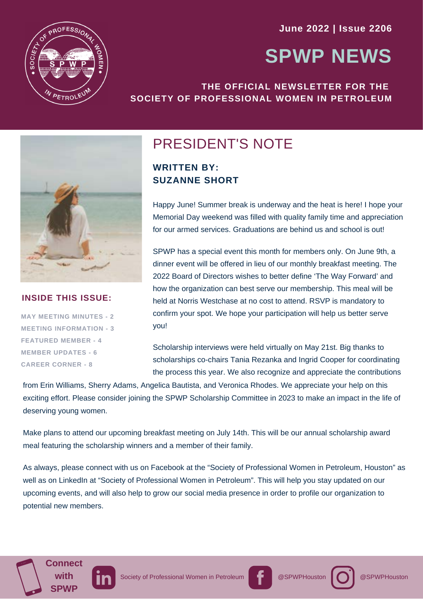**June 2022 | Issue 2206**



# **SPWP NEWS**

### **THE OFFICIAL NEWSLETTER FOR THE SOCIETY OF PROFESSIONAL WOMEN IN PETROLEUM**



### **INSIDE THIS ISSUE:**

**MAY MEETING MINUTES - 2 MEETING INFORMATION - 3 FEATURED MEMBER - 4 MEMBER UPDATES - 6 CAREER CORNER - 8**

### PRESIDENT'S NOTE

**WRITTEN BY: SUZANNE SHORT**

Happy June! Summer break is underway and the heat is here! I hope your Memorial Day weekend was filled with quality family time and appreciation for our armed services. Graduations are behind us and school is out!

SPWP has a special event this month for members only. On June 9th, a dinner event will be offered in lieu of our monthly breakfast meeting. The 2022 Board of Directors wishes to better define 'The Way Forward' and how the organization can best serve our membership. This meal will be held at Norris Westchase at no cost to attend. RSVP is mandatory to confirm your spot. We hope your participation will help us better serve you!

Scholarship interviews were held virtually on May 21st. Big thanks to scholarships co-chairs Tania Rezanka and Ingrid Cooper for coordinating the process this year. We also recognize and appreciate the contributions

from Erin Williams, Sherry Adams, Angelica Bautista, and Veronica Rhodes. We appreciate your help on this exciting effort. Please consider joining the SPWP Scholarship Committee in 2023 to make an impact in the life of deserving young women.

Make plans to attend our upcoming breakfast meeting on July 14th. This will be our annual scholarship award meal featuring the scholarship winners and a member of their family.

As always, please connect with us on Facebook at the "Society of Professional Women in Petroleum, Houston" as well as on LinkedIn at "Society of Professional Women in Petroleum". This will help you stay updated on our upcoming events, and will also help to grow our social media presence in order to profile our organization to potential new members.





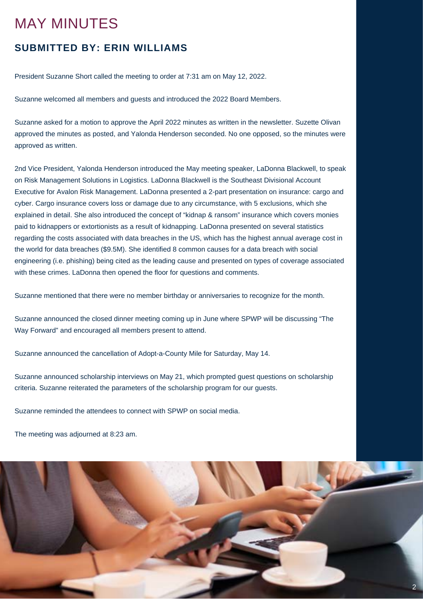### MAY MINUTES

### **SUBMITTED BY: ERIN WILLIAMS**

President Suzanne Short called the meeting to order at 7:31 am on May 12, 2022.

Suzanne welcomed all members and guests and introduced the 2022 Board Members.

Suzanne asked for a motion to approve the April 2022 minutes as written in the newsletter. Suzette Olivan approved the minutes as posted, and Yalonda Henderson seconded. No one opposed, so the minutes were approved as written.

2nd Vice President, Yalonda Henderson introduced the May meeting speaker, LaDonna Blackwell, to speak on Risk Management Solutions in Logistics. LaDonna Blackwell is the Southeast Divisional Account Executive for Avalon Risk Management. LaDonna presented a 2-part presentation on insurance: cargo and cyber. Cargo insurance covers loss or damage due to any circumstance, with 5 exclusions, which she explained in detail. She also introduced the concept of "kidnap & ransom" insurance which covers monies paid to kidnappers or extortionists as a result of kidnapping. LaDonna presented on several statistics regarding the costs associated with data breaches in the US, which has the highest annual average cost in the world for data breaches (\$9.5M). She identified 8 common causes for a data breach with social engineering (i.e. phishing) being cited as the leading cause and presented on types of coverage associated with these crimes. LaDonna then opened the floor for questions and comments.

Suzanne mentioned that there were no member birthday or anniversaries to recognize for the month.

Suzanne announced the closed dinner meeting coming up in June where SPWP will be discussing "The Way Forward" and encouraged all members present to attend.

Suzanne announced the cancellation of Adopt-a-County Mile for Saturday, May 14.

Suzanne announced scholarship interviews on May 21, which prompted guest questions on scholarship criteria. Suzanne reiterated the parameters of the scholarship program for our guests.

Suzanne reminded the attendees to connect with SPWP on social media.

The meeting was adjourned at 8:23 am.

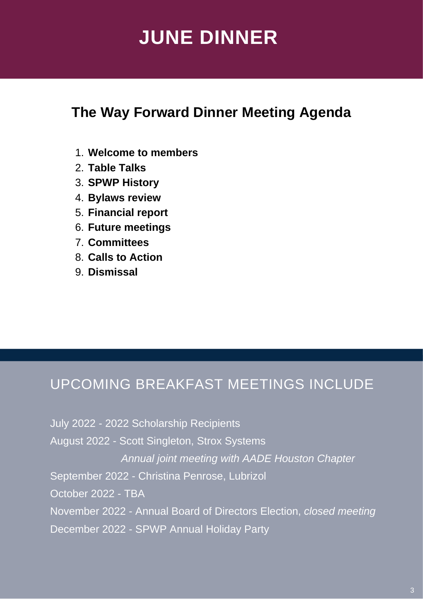# **JUNE DINNER**

## **The Way Forward Dinner Meeting Agenda**

- **Welcome to members** 1.
- **Table Talks** 2.
- **SPWP History** 3.
- **Bylaws review** 4.
- **Financial report** 5.
- **Future meetings** 6.
- **Committees** 7.
- **Calls to Action** 8.
- **Dismissal** 9.

## UPCOMING BREAKFAST MEETINGS INCLUDE

July 2022 - 2022 Scholarship Recipients August 2022 - Scott Singleton, Strox Systems *Annual joint meeting with AADE Houston Chapter* September 2022 - Christina Penrose, Lubrizol October 2022 - TBA November 2022 - Annual Board of Directors Election, *closed meeting* December 2022 - SPWP Annual Holiday Party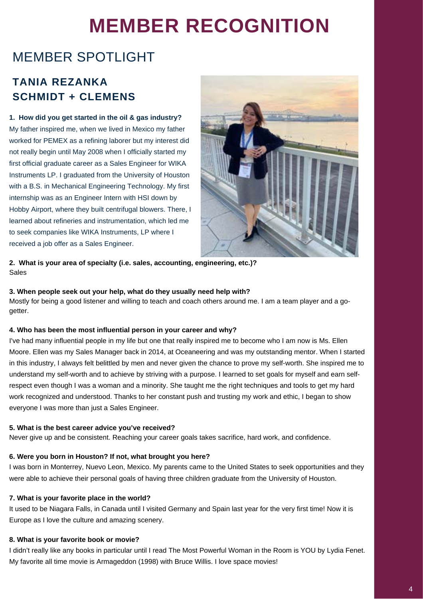# **MEMBER RECOGNITION**

## MEMBER SPOTLIGHT

### **TANIA REZANKA SCHMIDT + CLEMENS**

**1. How did you get started in the oil & gas industry?** My father inspired me, when we lived in Mexico my father worked for PEMEX as a refining laborer but my interest did not really begin until May 2008 when I officially started my first official graduate career as a Sales Engineer for WIKA Instruments LP. I graduated from the University of Houston with a B.S. in Mechanical Engineering Technology. My first internship was as an Engineer Intern with HSI down by Hobby Airport, where they built centrifugal blowers. There, I learned about refineries and instrumentation, which led me to seek companies like WIKA Instruments, LP where I received a job offer as a Sales Engineer.



**2. What is your area of specialty (i.e. sales, accounting, engineering, etc.)?** Sales

### **3. When people seek out your help, what do they usually need help with?**

Mostly for being a good listener and willing to teach and coach others around me. I am a team player and a gogetter.

### **4. Who has been the most influential person in your career and why?**

I've had many influential people in my life but one that really inspired me to become who I am now is Ms. Ellen Moore. Ellen was my Sales Manager back in 2014, at Oceaneering and was my outstanding mentor. When I started in this industry, I always felt belittled by men and never given the chance to prove my self-worth. She inspired me to understand my self-worth and to achieve by striving with a purpose. I learned to set goals for myself and earn selfrespect even though I was a woman and a minority. She taught me the right techniques and tools to get my hard work recognized and understood. Thanks to her constant push and trusting my work and ethic, I began to show everyone I was more than just a Sales Engineer.

### **5. What is the best career advice you've received?**

Never give up and be consistent. Reaching your career goals takes sacrifice, hard work, and confidence.

### **6. Were you born in Houston? If not, what brought you here?**

I was born in Monterrey, Nuevo Leon, Mexico. My parents came to the United States to seek opportunities and they were able to achieve their personal goals of having three children graduate from the University of Houston.

### **7. What is your favorite place in the world?**

It used to be Niagara Falls, in Canada until I visited Germany and Spain last year for the very first time! Now it is Europe as I love the culture and amazing scenery.

### **8. What is your favorite book or movie?**

I didn't really like any books in particular until I read The Most Powerful Woman in the Room is YOU by Lydia Fenet. My favorite all time movie is Armageddon (1998) with Bruce Willis. I love space movies!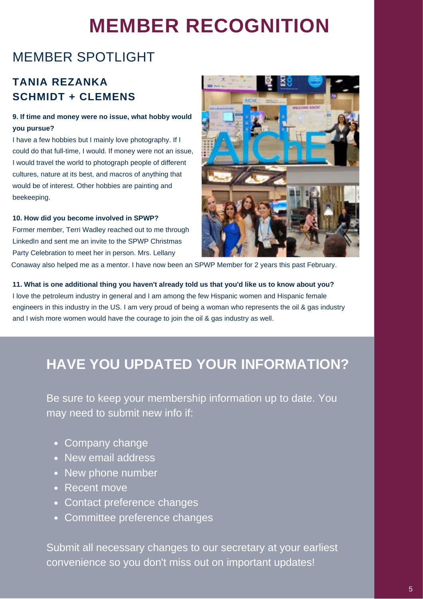# **MEMBER RECOGNITION**

## MEMBER SPOTLIGHT

### **TANIA REZANKA SCHMIDT + CLEMENS**

### **9. If time and money were no issue, what hobby would you pursue?**

I have a few hobbies but I mainly love photography. If I could do that full-time, I would. If money were not an issue, I would travel the world to photograph people of different cultures, nature at its best, and macros of anything that would be of interest. Other hobbies are painting and beekeeping.

**10. How did you become involved in SPWP?** Former member, Terri Wadley reached out to me through LinkedIn and sent me an invite to the SPWP Christmas Party Celebration to meet her in person. Mrs. Lellany



Conaway also helped me as a mentor. I have now been an SPWP Member for 2 years this past February.

### **11. What is one additional thing you haven't already told us that you'd like us to know about you?**

I love the petroleum industry in general and I am among the few Hispanic women and Hispanic female engineers in this industry in the US. I am very proud of being a woman who represents the oil & gas industry and I wish more women would have the courage to join the oil & gas industry as well.

## **HAVE YOU UPDATED YOUR INFORMATION?**

Be sure to keep your membership information up to date. You may need to submit new info if:

- Company change
- New email address
- New phone number
- Recent move
- Contact preference changes
- Committee preference changes

Submit all necessary changes to our secretary at your earliest convenience so you don't miss out on important updates!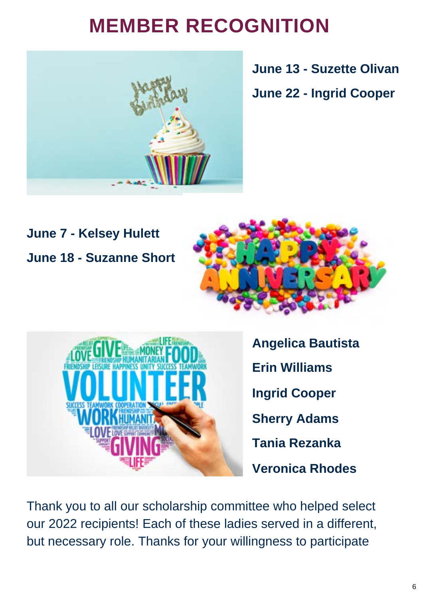# **MEMBER RECOGNITION**



**June 13 - Suzette Olivan**

**June 22 - Ingrid Cooper**

## **June 7 - Kelsey Hulett June 18 - Suzanne Short**





**Angelica Bautista Erin Williams Ingrid Cooper Sherry Adams Tania Rezanka Veronica Rhodes**

Thank you to all our scholarship committee who helped select our 2022 recipients! Each of these ladies served in a different, but necessary role. Thanks for your willingness to participate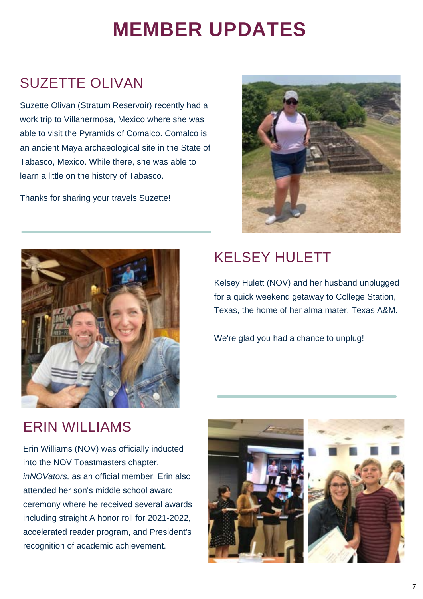# **MEMBER UPDATES**

## SUZETTE OLIVAN

Suzette Olivan (Stratum Reservoir) recently had a work trip to Villahermosa, Mexico where she was able to visit the Pyramids of Comalco. Comalco is an ancient [Maya](https://en.wikipedia.org/wiki/Maya_civilization) [archaeological site](https://en.wikipedia.org/wiki/Archaeological_site) in the State of [Tabasco,](https://en.wikipedia.org/wiki/Tabasco_State) Mexico. While there, she was able to learn a little on the history of Tabasco.

Thanks for sharing your travels Suzette!





## KELSEY HULETT

Kelsey Hulett (NOV) and her husband unplugged for a quick weekend getaway to College Station, Texas, the home of her alma mater, Texas A&M.

We're glad you had a chance to unplug!

## ERIN WILLIAMS

Erin Williams (NOV) was officially inducted into the NOV Toastmasters chapter, *inNOVators,* as an official member. Erin also attended her son's middle school award ceremony where he received several awards including straight A honor roll for 2021-2022, accelerated reader program, and President's recognition of academic achievement.



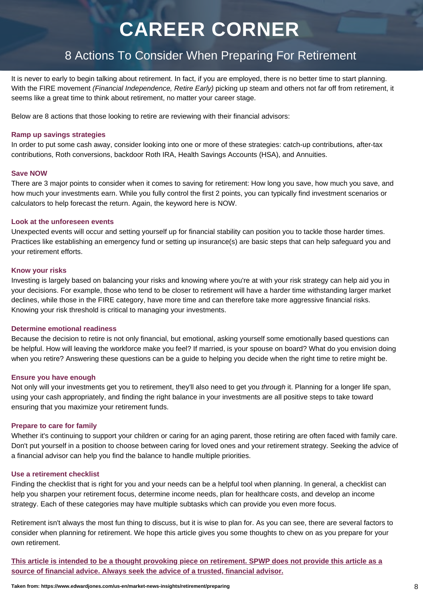# **CAREER CORNER**

### 8 Actions To Consider When Preparing For Retirement

It is never to early to begin talking about retirement. In fact, if you are employed, there is no better time to start planning. With the FIRE movement *(Financial Independence, Retire Early)* picking up steam and others not far off from retirement, it seems like a great time to think about retirement, no matter your career stage.

Below are 8 actions that those looking to retire are reviewing with their financial advisors:

#### **Ramp up savings strategies**

In order to put some cash away, consider looking into one or more of these strategies: catch-up contributions, after-tax contributions, Roth conversions, backdoor Roth IRA, Health Savings Accounts (HSA), and Annuities.

#### **Save NOW**

There are 3 major points to consider when it comes to saving for retirement: How long you save, how much you save, and how much your investments earn. While you fully control the first 2 points, you can typically find investment scenarios or calculators to help forecast the return. Again, the keyword here is NOW.

#### **Look at the unforeseen events**

Unexpected events will occur and setting yourself up for financial stability can position you to tackle those harder times. Practices like establishing an emergency fund or setting up insurance(s) are basic steps that can help safeguard you and your retirement efforts.

#### **Know your risks**

Investing is largely based on balancing your risks and knowing where you're at with your risk strategy can help aid you in your decisions. For example, those who tend to be closer to retirement will have a harder time withstanding larger market declines, while those in the FIRE category, have more time and can therefore take more aggressive financial risks. Knowing your risk threshold is critical to managing your investments.

### **Determine emotional readiness**

Because the decision to retire is not only financial, but emotional, asking yourself some emotionally based questions can be helpful. How will leaving the workforce make you feel? If married, is your spouse on board? What do you envision doing when you retire? Answering these questions can be a guide to helping you decide when the right time to retire might be.

#### **Ensure you have enough**

Not only will your investments get you to retirement, they'll also need to get you *through* it. Planning for a longer life span, using your cash appropriately, and finding the right balance in your investments are all positive steps to take toward ensuring that you maximize your retirement funds.

### **Prepare to care for family**

Whether it's continuing to support your children or caring for an aging parent, those retiring are often faced with family care. Don't put yourself in a position to choose between caring for loved ones and your retirement strategy. Seeking the advice of a financial advisor can help you find the balance to handle multiple priorities.

#### **Use a retirement checklist**

Finding the checklist that is right for you and your needs can be a helpful tool when planning. In general, a checklist can help you sharpen your retirement focus, determine income needs, plan for healthcare costs, and develop an income strategy. Each of these categories may have multiple subtasks which can provide you even more focus.

Retirement isn't always the most fun thing to discuss, but it is wise to plan for. As you can see, there are several factors to consider when planning for retirement. We hope this article gives you some thoughts to chew on as you prepare for your own retirement.

**This article is intended to be a thought provoking piece on retirement. SPWP does not provide this article as a source of financial advice. Always seek the advice of a trusted, financial advisor.**